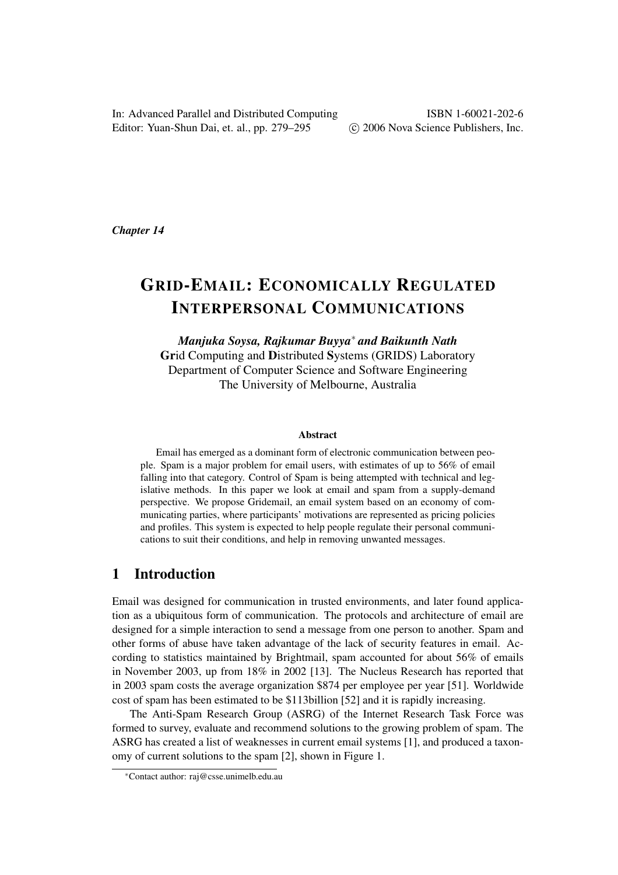In: Advanced Parallel and Distributed Computing Editor: Yuan-Shun Dai, et. al., pp. 279–295

ISBN 1-60021-202-6 °c 2006 Nova Science Publishers, Inc.

*Chapter 14*

# GRID-EMAIL: ECONOMICALLY REGULATED INTERPERSONAL COMMUNICATIONS

*Manjuka Soysa, Rajkumar Buyya*<sup>∗</sup> *and Baikunth Nath* Grid Computing and Distributed Systems (GRIDS) Laboratory Department of Computer Science and Software Engineering The University of Melbourne, Australia

#### Abstract

Email has emerged as a dominant form of electronic communication between people. Spam is a major problem for email users, with estimates of up to 56% of email falling into that category. Control of Spam is being attempted with technical and legislative methods. In this paper we look at email and spam from a supply-demand perspective. We propose Gridemail, an email system based on an economy of communicating parties, where participants' motivations are represented as pricing policies and profiles. This system is expected to help people regulate their personal communications to suit their conditions, and help in removing unwanted messages.

### 1 Introduction

Email was designed for communication in trusted environments, and later found application as a ubiquitous form of communication. The protocols and architecture of email are designed for a simple interaction to send a message from one person to another. Spam and other forms of abuse have taken advantage of the lack of security features in email. According to statistics maintained by Brightmail, spam accounted for about 56% of emails in November 2003, up from 18% in 2002 [13]. The Nucleus Research has reported that in 2003 spam costs the average organization \$874 per employee per year [51]. Worldwide cost of spam has been estimated to be \$113billion [52] and it is rapidly increasing.

The Anti-Spam Research Group (ASRG) of the Internet Research Task Force was formed to survey, evaluate and recommend solutions to the growing problem of spam. The ASRG has created a list of weaknesses in current email systems [1], and produced a taxonomy of current solutions to the spam [2], shown in Figure 1.

<sup>∗</sup>Contact author: raj@csse.unimelb.edu.au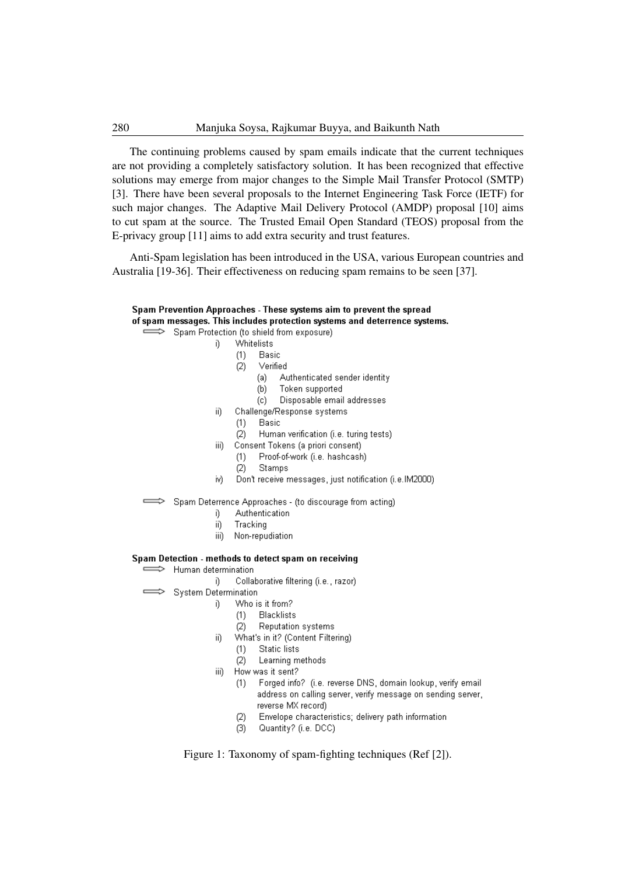The continuing problems caused by spam emails indicate that the current techniques are not providing a completely satisfactory solution. It has been recognized that effective solutions may emerge from major changes to the Simple Mail Transfer Protocol (SMTP) [3]. There have been several proposals to the Internet Engineering Task Force (IETF) for such major changes. The Adaptive Mail Delivery Protocol (AMDP) proposal [10] aims to cut spam at the source. The Trusted Email Open Standard (TEOS) proposal from the E-privacy group [11] aims to add extra security and trust features.

Anti-Spam legislation has been introduced in the USA, various European countries and Australia [19-36]. Their effectiveness on reducing spam remains to be seen [37].

### Spam Prevention Approaches - These systems aim to prevent the spread of spam messages. This includes protection systems and deterrence systems.

Spam Protection (to shield from exposure) j)

- Whitelists
	- Basic  $(1)$
- Verified  $(2)$ 
	- Authenticated sender identity (a)
	- $(b)$ Token supported
	- $(c)$ Disposable email addresses
- Challenge/Response systems -ii)
	- Basic  $(1)$
	- $(2)$ Human verification (i.e. turing tests)
- -iii) Consent Tokens (a priori consent)
	- Proof-of-work (i.e. hashcash) -(1)
	- Stamps  $(2)$
- Don't receive messages, just notification (i.e.IM2000) iv)
- Spam Deterrence Approaches (to discourage from acting)
	- j) Authentication
	- ii) Tracking
	- Non-repudiation iii)

#### Spam Detection - methods to detect spam on receiving

Human determination  $\Rightarrow$ 

j)

-ii)

- Collaborative filtering (i.e., razor) -ï)
- **System Determination** 
	- Who is it from?
	- **Blacklists**  $(1)$
	- $(2)$ Reputation systems
	- What's in it? (Content Filtering)
		- $(1)$ **Static lists**
	- Learning methods  $(2)$
	- How was it sent? iii)
		- Forged info? (i.e. reverse DNS, domain lookup, verify email  $(1)$ address on calling server, verify message on sending server, reverse MX record)
		- Envelope characteristics; delivery path information  $(2)$
		- Quantity? (i.e. DCC)  $\langle$ 3)

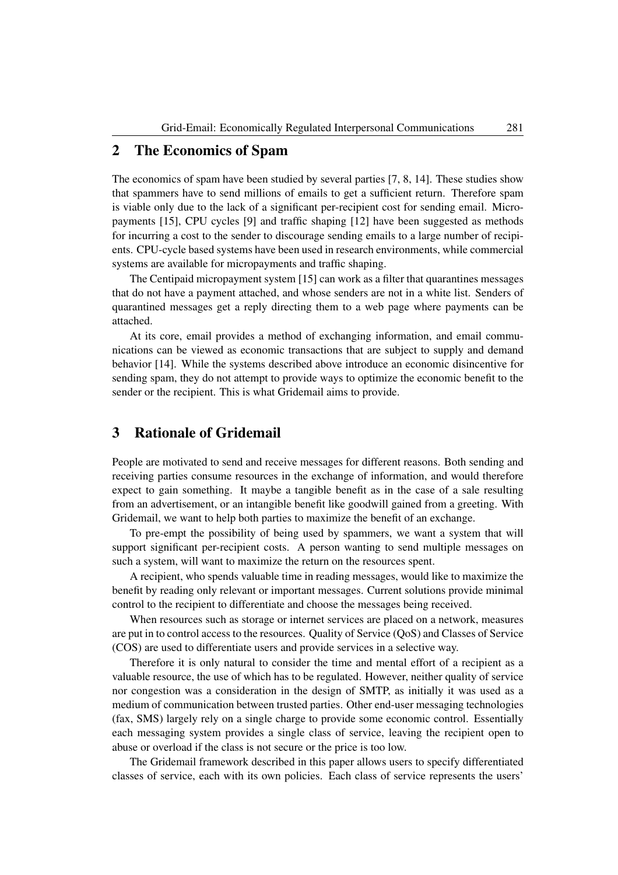### 2 The Economics of Spam

The economics of spam have been studied by several parties [7, 8, 14]. These studies show that spammers have to send millions of emails to get a sufficient return. Therefore spam is viable only due to the lack of a significant per-recipient cost for sending email. Micropayments [15], CPU cycles [9] and traffic shaping [12] have been suggested as methods for incurring a cost to the sender to discourage sending emails to a large number of recipients. CPU-cycle based systems have been used in research environments, while commercial systems are available for micropayments and traffic shaping.

The Centipaid micropayment system [15] can work as a filter that quarantines messages that do not have a payment attached, and whose senders are not in a white list. Senders of quarantined messages get a reply directing them to a web page where payments can be attached.

At its core, email provides a method of exchanging information, and email communications can be viewed as economic transactions that are subject to supply and demand behavior [14]. While the systems described above introduce an economic disincentive for sending spam, they do not attempt to provide ways to optimize the economic benefit to the sender or the recipient. This is what Gridemail aims to provide.

## 3 Rationale of Gridemail

People are motivated to send and receive messages for different reasons. Both sending and receiving parties consume resources in the exchange of information, and would therefore expect to gain something. It maybe a tangible benefit as in the case of a sale resulting from an advertisement, or an intangible benefit like goodwill gained from a greeting. With Gridemail, we want to help both parties to maximize the benefit of an exchange.

To pre-empt the possibility of being used by spammers, we want a system that will support significant per-recipient costs. A person wanting to send multiple messages on such a system, will want to maximize the return on the resources spent.

A recipient, who spends valuable time in reading messages, would like to maximize the benefit by reading only relevant or important messages. Current solutions provide minimal control to the recipient to differentiate and choose the messages being received.

When resources such as storage or internet services are placed on a network, measures are put in to control access to the resources. Quality of Service (QoS) and Classes of Service (COS) are used to differentiate users and provide services in a selective way.

Therefore it is only natural to consider the time and mental effort of a recipient as a valuable resource, the use of which has to be regulated. However, neither quality of service nor congestion was a consideration in the design of SMTP, as initially it was used as a medium of communication between trusted parties. Other end-user messaging technologies (fax, SMS) largely rely on a single charge to provide some economic control. Essentially each messaging system provides a single class of service, leaving the recipient open to abuse or overload if the class is not secure or the price is too low.

The Gridemail framework described in this paper allows users to specify differentiated classes of service, each with its own policies. Each class of service represents the users'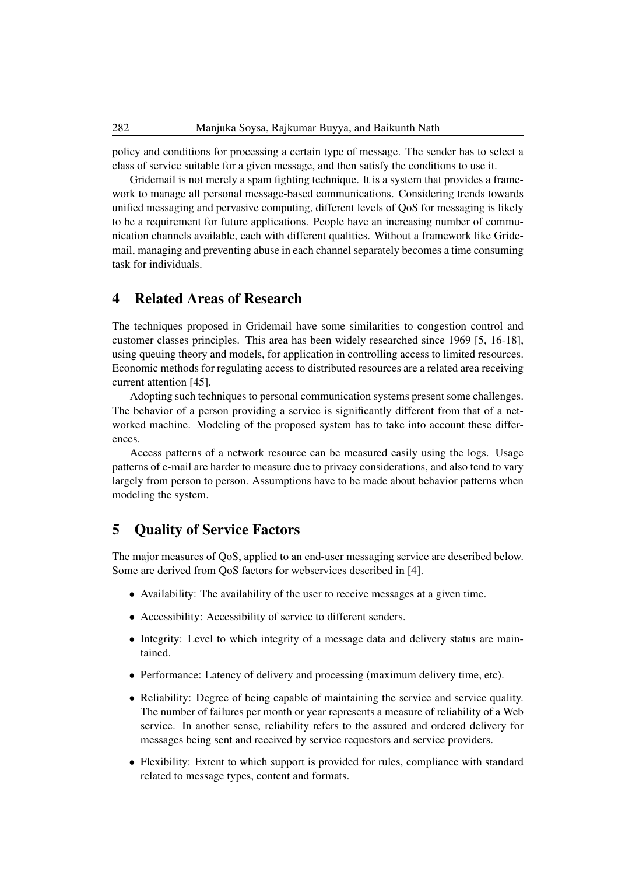policy and conditions for processing a certain type of message. The sender has to select a class of service suitable for a given message, and then satisfy the conditions to use it.

Gridemail is not merely a spam fighting technique. It is a system that provides a framework to manage all personal message-based communications. Considering trends towards unified messaging and pervasive computing, different levels of QoS for messaging is likely to be a requirement for future applications. People have an increasing number of communication channels available, each with different qualities. Without a framework like Gridemail, managing and preventing abuse in each channel separately becomes a time consuming task for individuals.

### 4 Related Areas of Research

The techniques proposed in Gridemail have some similarities to congestion control and customer classes principles. This area has been widely researched since 1969 [5, 16-18], using queuing theory and models, for application in controlling access to limited resources. Economic methods for regulating access to distributed resources are a related area receiving current attention [45].

Adopting such techniques to personal communication systems present some challenges. The behavior of a person providing a service is significantly different from that of a networked machine. Modeling of the proposed system has to take into account these differences.

Access patterns of a network resource can be measured easily using the logs. Usage patterns of e-mail are harder to measure due to privacy considerations, and also tend to vary largely from person to person. Assumptions have to be made about behavior patterns when modeling the system.

### 5 Quality of Service Factors

The major measures of QoS, applied to an end-user messaging service are described below. Some are derived from QoS factors for webservices described in [4].

- Availability: The availability of the user to receive messages at a given time.
- Accessibility: Accessibility of service to different senders.
- Integrity: Level to which integrity of a message data and delivery status are maintained.
- Performance: Latency of delivery and processing (maximum delivery time, etc).
- Reliability: Degree of being capable of maintaining the service and service quality. The number of failures per month or year represents a measure of reliability of a Web service. In another sense, reliability refers to the assured and ordered delivery for messages being sent and received by service requestors and service providers.
- Flexibility: Extent to which support is provided for rules, compliance with standard related to message types, content and formats.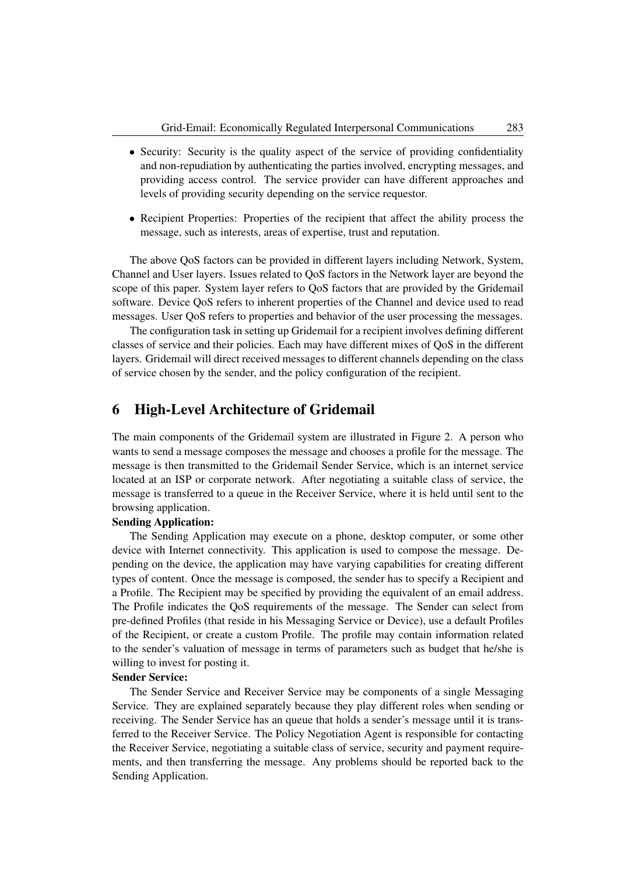- Security: Security is the quality aspect of the service of providing confidentiality and non-repudiation by authenticating the parties involved, encrypting messages, and providing access control. The service provider can have different approaches and levels of providing security depending on the service requestor.
- Recipient Properties: Properties of the recipient that affect the ability process the message, such as interests, areas of expertise, trust and reputation.

The above QoS factors can be provided in different layers including Network, System, Channel and User layers. Issues related to QoS factors in the Network layer are beyond the scope of this paper. System layer refers to QoS factors that are provided by the Gridemail software. Device QoS refers to inherent properties of the Channel and device used to read messages. User QoS refers to properties and behavior of the user processing the messages.

The configuration task in setting up Gridemail for a recipient involves defining different classes of service and their policies. Each may have different mixes of QoS in the different layers. Gridemail will direct received messages to different channels depending on the class of service chosen by the sender, and the policy configuration of the recipient.

### 6 High-Level Architecture of Gridemail

The main components of the Gridemail system are illustrated in Figure 2. A person who wants to send a message composes the message and chooses a profile for the message. The message is then transmitted to the Gridemail Sender Service, which is an internet service located at an ISP or corporate network. After negotiating a suitable class of service, the message is transferred to a queue in the Receiver Service, where it is held until sent to the browsing application.

### Sending Application:

The Sending Application may execute on a phone, desktop computer, or some other device with Internet connectivity. This application is used to compose the message. Depending on the device, the application may have varying capabilities for creating different types of content. Once the message is composed, the sender has to specify a Recipient and a Profile. The Recipient may be specified by providing the equivalent of an email address. The Profile indicates the QoS requirements of the message. The Sender can select from pre-defined Profiles (that reside in his Messaging Service or Device), use a default Profiles of the Recipient, or create a custom Profile. The profile may contain information related to the sender's valuation of message in terms of parameters such as budget that he/she is willing to invest for posting it.

### Sender Service:

The Sender Service and Receiver Service may be components of a single Messaging Service. They are explained separately because they play different roles when sending or receiving. The Sender Service has an queue that holds a sender's message until it is transferred to the Receiver Service. The Policy Negotiation Agent is responsible for contacting the Receiver Service, negotiating a suitable class of service, security and payment requirements, and then transferring the message. Any problems should be reported back to the Sending Application.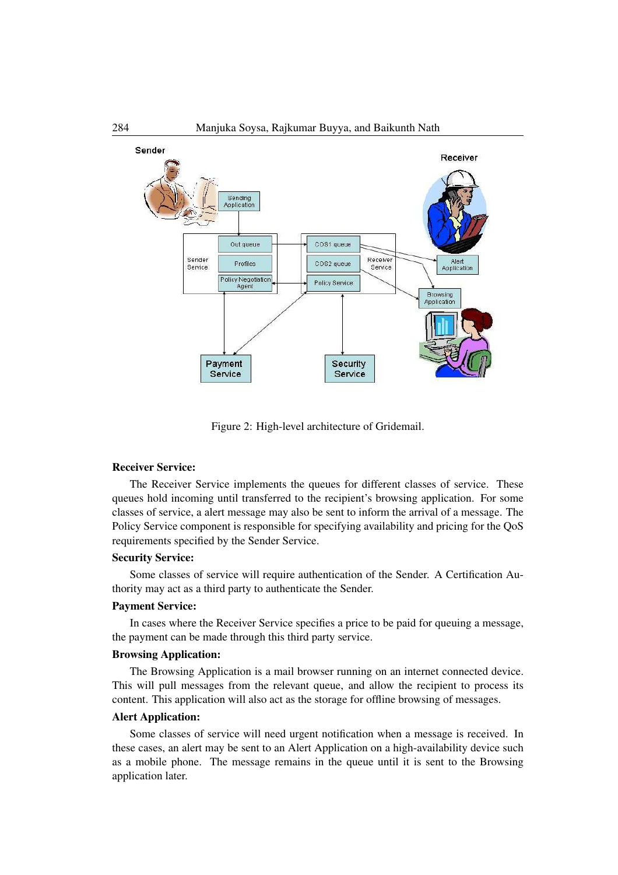

Figure 2: High-level architecture of Gridemail.

#### Receiver Service:

The Receiver Service implements the queues for different classes of service. These queues hold incoming until transferred to the recipient's browsing application. For some classes of service, a alert message may also be sent to inform the arrival of a message. The Policy Service component is responsible for specifying availability and pricing for the QoS requirements specified by the Sender Service.

#### Security Service:

Some classes of service will require authentication of the Sender. A Certification Authority may act as a third party to authenticate the Sender.

#### Payment Service:

In cases where the Receiver Service specifies a price to be paid for queuing a message, the payment can be made through this third party service.

### Browsing Application:

The Browsing Application is a mail browser running on an internet connected device. This will pull messages from the relevant queue, and allow the recipient to process its content. This application will also act as the storage for offline browsing of messages.

### Alert Application:

Some classes of service will need urgent notification when a message is received. In these cases, an alert may be sent to an Alert Application on a high-availability device such as a mobile phone. The message remains in the queue until it is sent to the Browsing application later.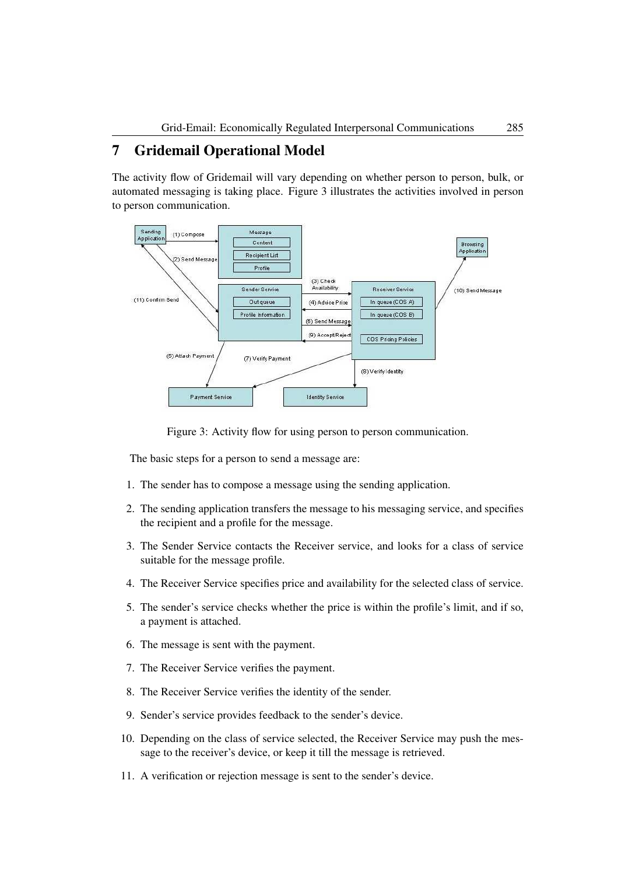### 7 Gridemail Operational Model

The activity flow of Gridemail will vary depending on whether person to person, bulk, or automated messaging is taking place. Figure 3 illustrates the activities involved in person to person communication.



Figure 3: Activity flow for using person to person communication.

The basic steps for a person to send a message are:

- 1. The sender has to compose a message using the sending application.
- 2. The sending application transfers the message to his messaging service, and specifies the recipient and a profile for the message.
- 3. The Sender Service contacts the Receiver service, and looks for a class of service suitable for the message profile.
- 4. The Receiver Service specifies price and availability for the selected class of service.
- 5. The sender's service checks whether the price is within the profile's limit, and if so, a payment is attached.
- 6. The message is sent with the payment.
- 7. The Receiver Service verifies the payment.
- 8. The Receiver Service verifies the identity of the sender.
- 9. Sender's service provides feedback to the sender's device.
- 10. Depending on the class of service selected, the Receiver Service may push the message to the receiver's device, or keep it till the message is retrieved.
- 11. A verification or rejection message is sent to the sender's device.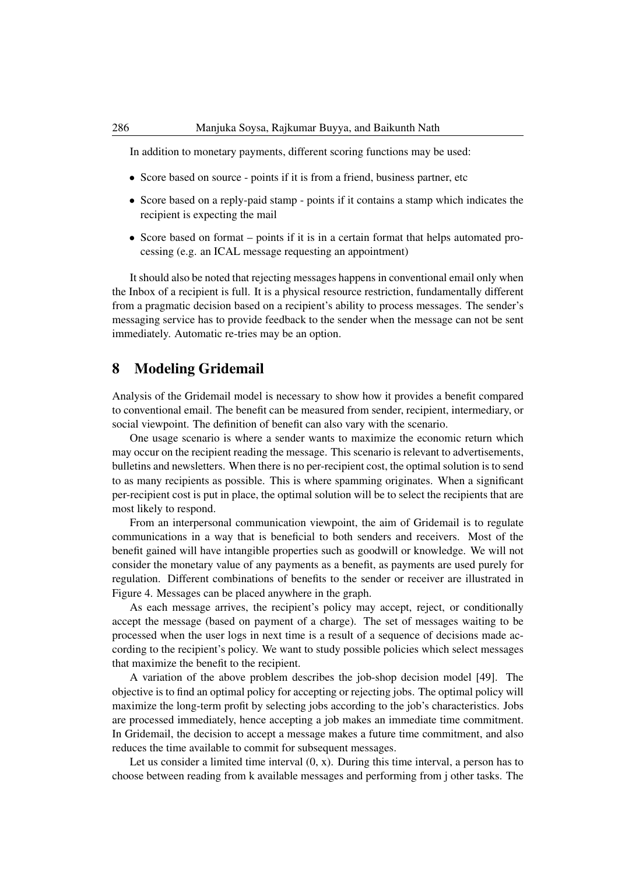In addition to monetary payments, different scoring functions may be used:

- Score based on source points if it is from a friend, business partner, etc.
- Score based on a reply-paid stamp points if it contains a stamp which indicates the recipient is expecting the mail
- Score based on format points if it is in a certain format that helps automated processing (e.g. an ICAL message requesting an appointment)

It should also be noted that rejecting messages happens in conventional email only when the Inbox of a recipient is full. It is a physical resource restriction, fundamentally different from a pragmatic decision based on a recipient's ability to process messages. The sender's messaging service has to provide feedback to the sender when the message can not be sent immediately. Automatic re-tries may be an option.

### 8 Modeling Gridemail

Analysis of the Gridemail model is necessary to show how it provides a benefit compared to conventional email. The benefit can be measured from sender, recipient, intermediary, or social viewpoint. The definition of benefit can also vary with the scenario.

One usage scenario is where a sender wants to maximize the economic return which may occur on the recipient reading the message. This scenario is relevant to advertisements, bulletins and newsletters. When there is no per-recipient cost, the optimal solution is to send to as many recipients as possible. This is where spamming originates. When a significant per-recipient cost is put in place, the optimal solution will be to select the recipients that are most likely to respond.

From an interpersonal communication viewpoint, the aim of Gridemail is to regulate communications in a way that is beneficial to both senders and receivers. Most of the benefit gained will have intangible properties such as goodwill or knowledge. We will not consider the monetary value of any payments as a benefit, as payments are used purely for regulation. Different combinations of benefits to the sender or receiver are illustrated in Figure 4. Messages can be placed anywhere in the graph.

As each message arrives, the recipient's policy may accept, reject, or conditionally accept the message (based on payment of a charge). The set of messages waiting to be processed when the user logs in next time is a result of a sequence of decisions made according to the recipient's policy. We want to study possible policies which select messages that maximize the benefit to the recipient.

A variation of the above problem describes the job-shop decision model [49]. The objective is to find an optimal policy for accepting or rejecting jobs. The optimal policy will maximize the long-term profit by selecting jobs according to the job's characteristics. Jobs are processed immediately, hence accepting a job makes an immediate time commitment. In Gridemail, the decision to accept a message makes a future time commitment, and also reduces the time available to commit for subsequent messages.

Let us consider a limited time interval  $(0, x)$ . During this time interval, a person has to choose between reading from k available messages and performing from j other tasks. The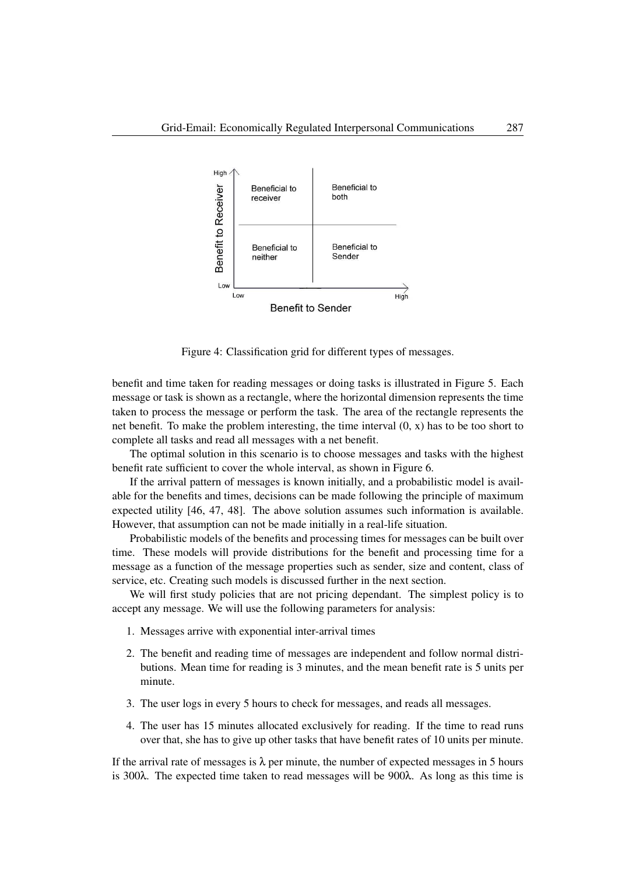

Figure 4: Classification grid for different types of messages.

benefit and time taken for reading messages or doing tasks is illustrated in Figure 5. Each message or task is shown as a rectangle, where the horizontal dimension represents the time taken to process the message or perform the task. The area of the rectangle represents the net benefit. To make the problem interesting, the time interval (0, x) has to be too short to complete all tasks and read all messages with a net benefit.

The optimal solution in this scenario is to choose messages and tasks with the highest benefit rate sufficient to cover the whole interval, as shown in Figure 6.

If the arrival pattern of messages is known initially, and a probabilistic model is available for the benefits and times, decisions can be made following the principle of maximum expected utility [46, 47, 48]. The above solution assumes such information is available. However, that assumption can not be made initially in a real-life situation.

Probabilistic models of the benefits and processing times for messages can be built over time. These models will provide distributions for the benefit and processing time for a message as a function of the message properties such as sender, size and content, class of service, etc. Creating such models is discussed further in the next section.

We will first study policies that are not pricing dependant. The simplest policy is to accept any message. We will use the following parameters for analysis:

- 1. Messages arrive with exponential inter-arrival times
- 2. The benefit and reading time of messages are independent and follow normal distributions. Mean time for reading is 3 minutes, and the mean benefit rate is 5 units per minute.
- 3. The user logs in every 5 hours to check for messages, and reads all messages.
- 4. The user has 15 minutes allocated exclusively for reading. If the time to read runs over that, she has to give up other tasks that have benefit rates of 10 units per minute.

If the arrival rate of messages is  $\lambda$  per minute, the number of expected messages in 5 hours is 300λ. The expected time taken to read messages will be 900λ. As long as this time is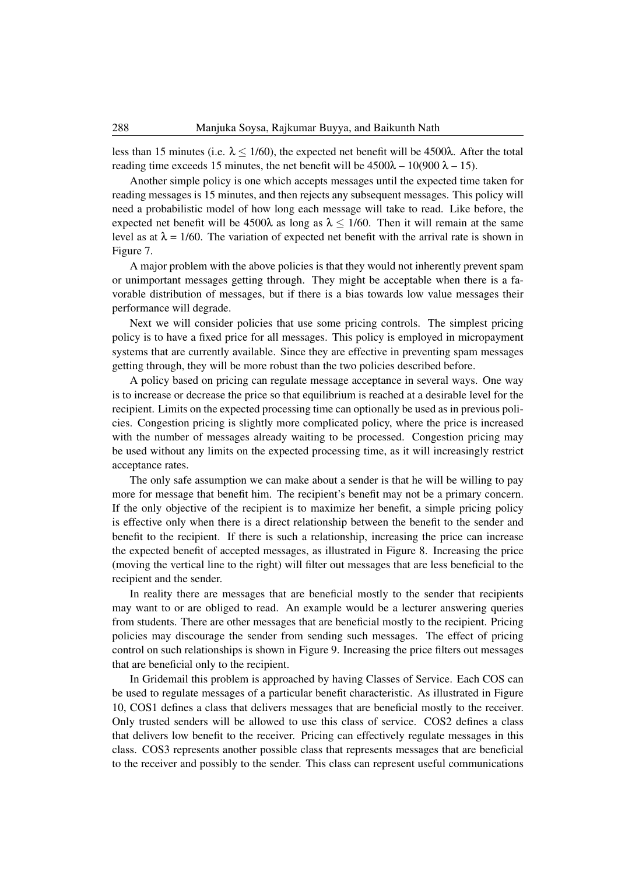less than 15 minutes (i.e.  $\lambda$  < 1/60), the expected net benefit will be 4500 $\lambda$ . After the total reading time exceeds 15 minutes, the net benefit will be  $4500\lambda - 10(900 \lambda - 15)$ .

Another simple policy is one which accepts messages until the expected time taken for reading messages is 15 minutes, and then rejects any subsequent messages. This policy will need a probabilistic model of how long each message will take to read. Like before, the expected net benefit will be 4500 $\lambda$  as long as  $\lambda \le 1/60$ . Then it will remain at the same level as at  $\lambda = 1/60$ . The variation of expected net benefit with the arrival rate is shown in Figure 7.

A major problem with the above policies is that they would not inherently prevent spam or unimportant messages getting through. They might be acceptable when there is a favorable distribution of messages, but if there is a bias towards low value messages their performance will degrade.

Next we will consider policies that use some pricing controls. The simplest pricing policy is to have a fixed price for all messages. This policy is employed in micropayment systems that are currently available. Since they are effective in preventing spam messages getting through, they will be more robust than the two policies described before.

A policy based on pricing can regulate message acceptance in several ways. One way is to increase or decrease the price so that equilibrium is reached at a desirable level for the recipient. Limits on the expected processing time can optionally be used as in previous policies. Congestion pricing is slightly more complicated policy, where the price is increased with the number of messages already waiting to be processed. Congestion pricing may be used without any limits on the expected processing time, as it will increasingly restrict acceptance rates.

The only safe assumption we can make about a sender is that he will be willing to pay more for message that benefit him. The recipient's benefit may not be a primary concern. If the only objective of the recipient is to maximize her benefit, a simple pricing policy is effective only when there is a direct relationship between the benefit to the sender and benefit to the recipient. If there is such a relationship, increasing the price can increase the expected benefit of accepted messages, as illustrated in Figure 8. Increasing the price (moving the vertical line to the right) will filter out messages that are less beneficial to the recipient and the sender.

In reality there are messages that are beneficial mostly to the sender that recipients may want to or are obliged to read. An example would be a lecturer answering queries from students. There are other messages that are beneficial mostly to the recipient. Pricing policies may discourage the sender from sending such messages. The effect of pricing control on such relationships is shown in Figure 9. Increasing the price filters out messages that are beneficial only to the recipient.

In Gridemail this problem is approached by having Classes of Service. Each COS can be used to regulate messages of a particular benefit characteristic. As illustrated in Figure 10, COS1 defines a class that delivers messages that are beneficial mostly to the receiver. Only trusted senders will be allowed to use this class of service. COS2 defines a class that delivers low benefit to the receiver. Pricing can effectively regulate messages in this class. COS3 represents another possible class that represents messages that are beneficial to the receiver and possibly to the sender. This class can represent useful communications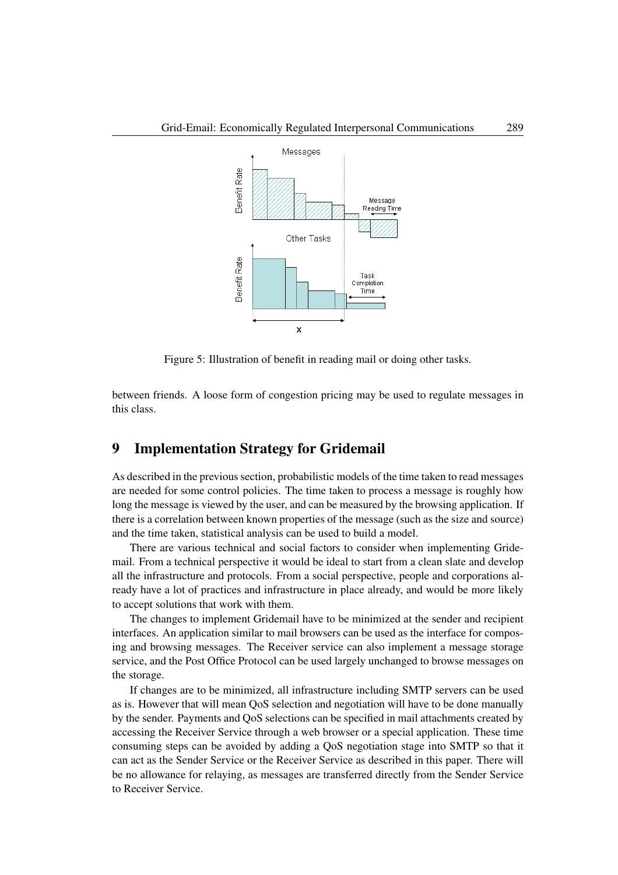

Figure 5: Illustration of benefit in reading mail or doing other tasks.

between friends. A loose form of congestion pricing may be used to regulate messages in this class.

### 9 Implementation Strategy for Gridemail

As described in the previous section, probabilistic models of the time taken to read messages are needed for some control policies. The time taken to process a message is roughly how long the message is viewed by the user, and can be measured by the browsing application. If there is a correlation between known properties of the message (such as the size and source) and the time taken, statistical analysis can be used to build a model.

There are various technical and social factors to consider when implementing Gridemail. From a technical perspective it would be ideal to start from a clean slate and develop all the infrastructure and protocols. From a social perspective, people and corporations already have a lot of practices and infrastructure in place already, and would be more likely to accept solutions that work with them.

The changes to implement Gridemail have to be minimized at the sender and recipient interfaces. An application similar to mail browsers can be used as the interface for composing and browsing messages. The Receiver service can also implement a message storage service, and the Post Office Protocol can be used largely unchanged to browse messages on the storage.

If changes are to be minimized, all infrastructure including SMTP servers can be used as is. However that will mean QoS selection and negotiation will have to be done manually by the sender. Payments and QoS selections can be specified in mail attachments created by accessing the Receiver Service through a web browser or a special application. These time consuming steps can be avoided by adding a QoS negotiation stage into SMTP so that it can act as the Sender Service or the Receiver Service as described in this paper. There will be no allowance for relaying, as messages are transferred directly from the Sender Service to Receiver Service.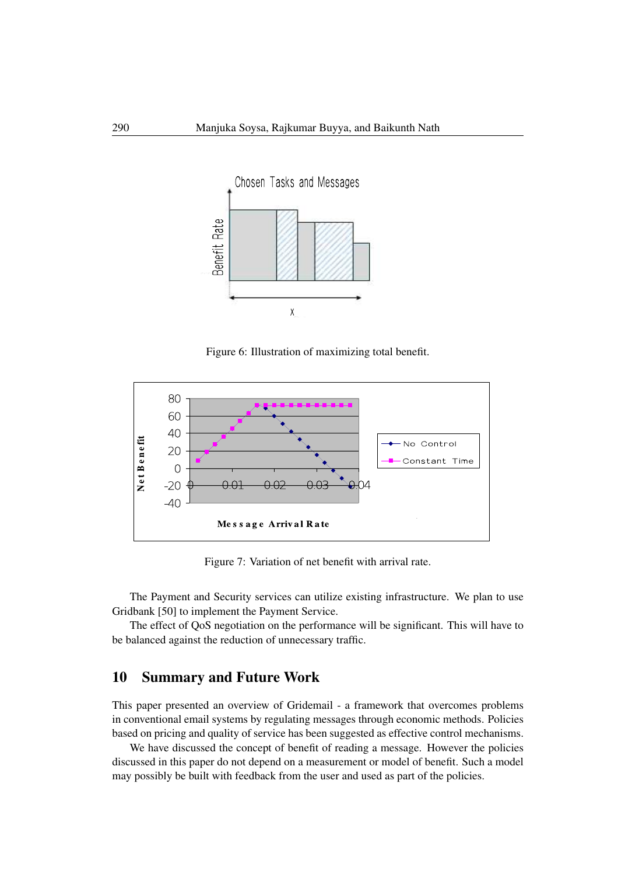

Figure 6: Illustration of maximizing total benefit.



Figure 7: Variation of net benefit with arrival rate.

The Payment and Security services can utilize existing infrastructure. We plan to use Gridbank [50] to implement the Payment Service.

The effect of QoS negotiation on the performance will be significant. This will have to be balanced against the reduction of unnecessary traffic.

### 10 Summary and Future Work

This paper presented an overview of Gridemail - a framework that overcomes problems in conventional email systems by regulating messages through economic methods. Policies based on pricing and quality of service has been suggested as effective control mechanisms.

We have discussed the concept of benefit of reading a message. However the policies discussed in this paper do not depend on a measurement or model of benefit. Such a model may possibly be built with feedback from the user and used as part of the policies.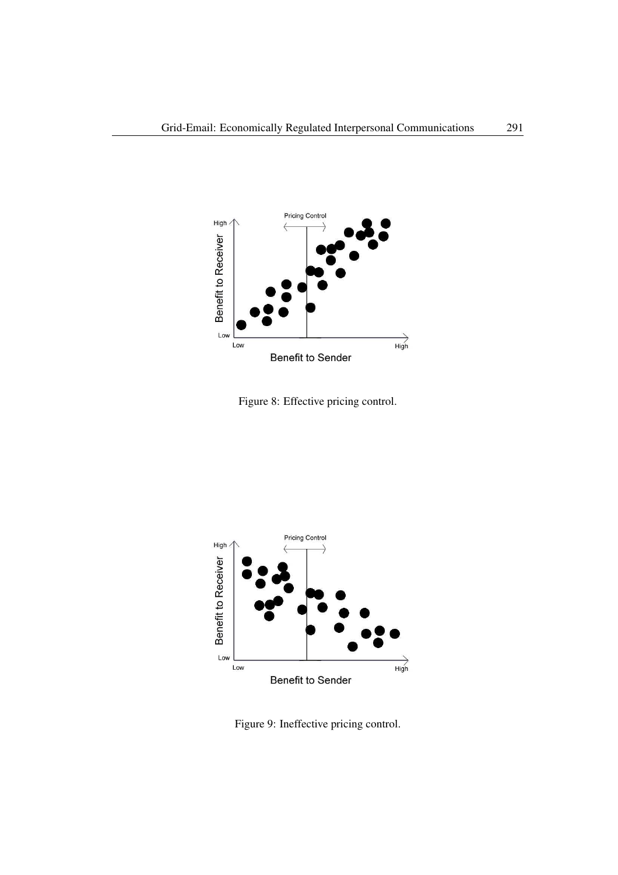

Figure 8: Effective pricing control.



Figure 9: Ineffective pricing control.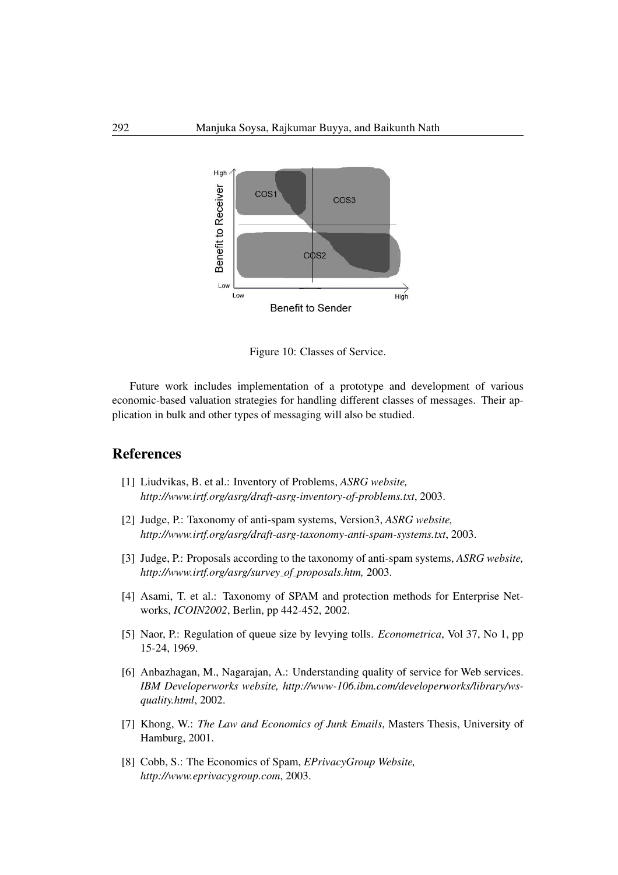

Figure 10: Classes of Service.

Future work includes implementation of a prototype and development of various economic-based valuation strategies for handling different classes of messages. Their application in bulk and other types of messaging will also be studied.

# References

- [1] Liudvikas, B. et al.: Inventory of Problems, *ASRG website, http://www.irtf.org/asrg/draft-asrg-inventory-of-problems.txt*, 2003.
- [2] Judge, P.: Taxonomy of anti-spam systems, Version3, *ASRG website, http://www.irtf.org/asrg/draft-asrg-taxonomy-anti-spam-systems.txt*, 2003.
- [3] Judge, P.: Proposals according to the taxonomy of anti-spam systems, *ASRG website, http://www.irtf.org/asrg/survey of proposals.htm,* 2003.
- [4] Asami, T. et al.: Taxonomy of SPAM and protection methods for Enterprise Networks, *ICOIN2002*, Berlin, pp 442-452, 2002.
- [5] Naor, P.: Regulation of queue size by levying tolls. *Econometrica*, Vol 37, No 1, pp 15-24, 1969.
- [6] Anbazhagan, M., Nagarajan, A.: Understanding quality of service for Web services. *IBM Developerworks website, http://www-106.ibm.com/developerworks/library/wsquality.html*, 2002.
- [7] Khong, W.: *The Law and Economics of Junk Emails*, Masters Thesis, University of Hamburg, 2001.
- [8] Cobb, S.: The Economics of Spam, *EPrivacyGroup Website, http://www.eprivacygroup.com*, 2003.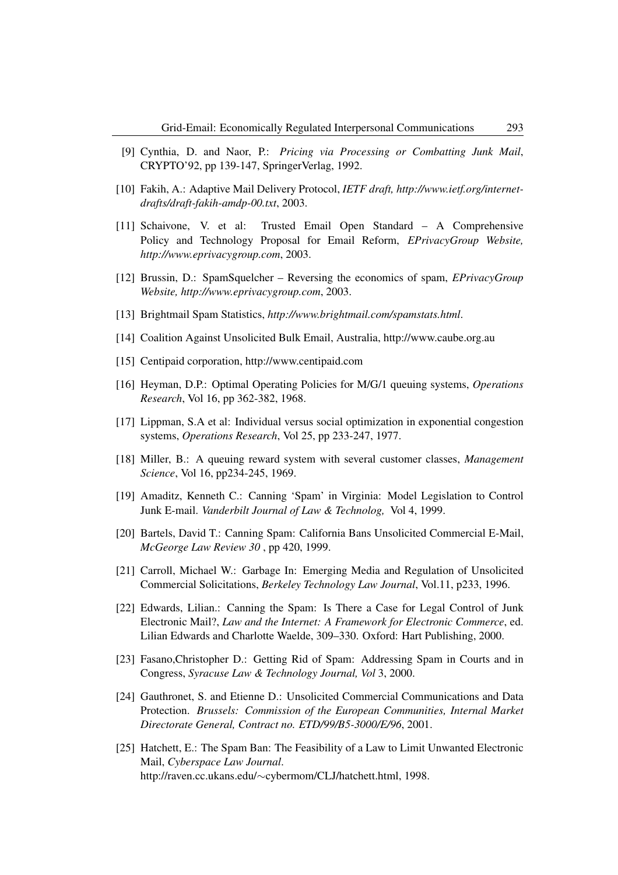- [9] Cynthia, D. and Naor, P.: *Pricing via Processing or Combatting Junk Mail*, CRYPTO'92, pp 139-147, SpringerVerlag, 1992.
- [10] Fakih, A.: Adaptive Mail Delivery Protocol, *IETF draft, http://www.ietf.org/internetdrafts/draft-fakih-amdp-00.txt*, 2003.
- [11] Schaivone, V. et al: Trusted Email Open Standard A Comprehensive Policy and Technology Proposal for Email Reform, *EPrivacyGroup Website, http://www.eprivacygroup.com*, 2003.
- [12] Brussin, D.: SpamSquelcher Reversing the economics of spam, *EPrivacyGroup Website, http://www.eprivacygroup.com*, 2003.
- [13] Brightmail Spam Statistics, *http://www.brightmail.com/spamstats.html*.
- [14] Coalition Against Unsolicited Bulk Email, Australia, http://www.caube.org.au
- [15] Centipaid corporation, http://www.centipaid.com
- [16] Heyman, D.P.: Optimal Operating Policies for M/G/1 queuing systems, *Operations Research*, Vol 16, pp 362-382, 1968.
- [17] Lippman, S.A et al: Individual versus social optimization in exponential congestion systems, *Operations Research*, Vol 25, pp 233-247, 1977.
- [18] Miller, B.: A queuing reward system with several customer classes, *Management Science*, Vol 16, pp234-245, 1969.
- [19] Amaditz, Kenneth C.: Canning 'Spam' in Virginia: Model Legislation to Control Junk E-mail. *Vanderbilt Journal of Law & Technolog,* Vol 4, 1999.
- [20] Bartels, David T.: Canning Spam: California Bans Unsolicited Commercial E-Mail, *McGeorge Law Review 30* , pp 420, 1999.
- [21] Carroll, Michael W.: Garbage In: Emerging Media and Regulation of Unsolicited Commercial Solicitations, *Berkeley Technology Law Journal*, Vol.11, p233, 1996.
- [22] Edwards, Lilian.: Canning the Spam: Is There a Case for Legal Control of Junk Electronic Mail?, *Law and the Internet: A Framework for Electronic Commerce*, ed. Lilian Edwards and Charlotte Waelde, 309–330. Oxford: Hart Publishing, 2000.
- [23] Fasano,Christopher D.: Getting Rid of Spam: Addressing Spam in Courts and in Congress, *Syracuse Law & Technology Journal, Vol* 3, 2000.
- [24] Gauthronet, S. and Etienne D.: Unsolicited Commercial Communications and Data Protection. *Brussels: Commission of the European Communities, Internal Market Directorate General, Contract no. ETD/99/B5-3000/E/96*, 2001.
- [25] Hatchett, E.: The Spam Ban: The Feasibility of a Law to Limit Unwanted Electronic Mail, *Cyberspace Law Journal*. http://raven.cc.ukans.edu/∼cybermom/CLJ/hatchett.html, 1998.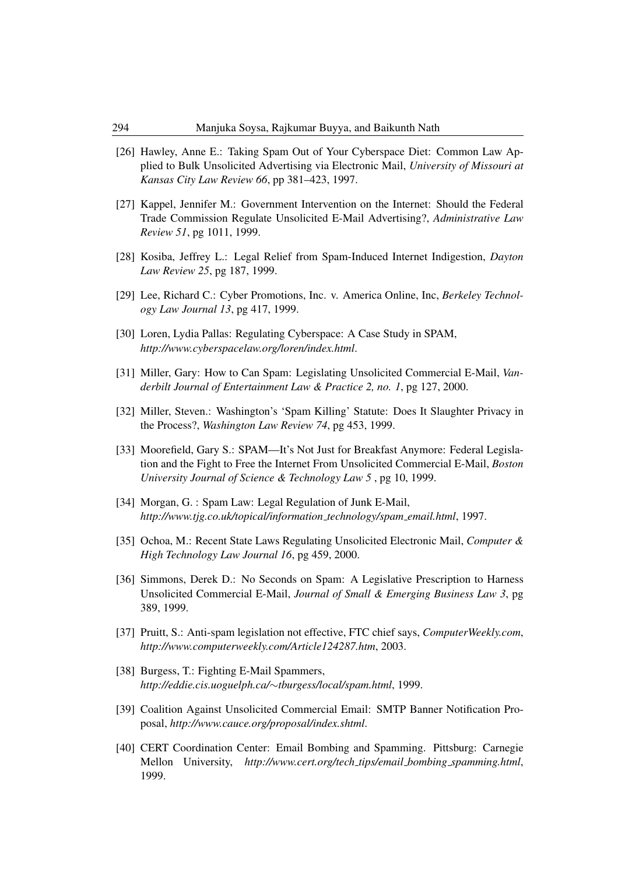- [26] Hawley, Anne E.: Taking Spam Out of Your Cyberspace Diet: Common Law Applied to Bulk Unsolicited Advertising via Electronic Mail, *University of Missouri at Kansas City Law Review 66*, pp 381–423, 1997.
- [27] Kappel, Jennifer M.: Government Intervention on the Internet: Should the Federal Trade Commission Regulate Unsolicited E-Mail Advertising?, *Administrative Law Review 51*, pg 1011, 1999.
- [28] Kosiba, Jeffrey L.: Legal Relief from Spam-Induced Internet Indigestion, *Dayton Law Review 25*, pg 187, 1999.
- [29] Lee, Richard C.: Cyber Promotions, Inc. v. America Online, Inc, *Berkeley Technology Law Journal 13*, pg 417, 1999.
- [30] Loren, Lydia Pallas: Regulating Cyberspace: A Case Study in SPAM, *http://www.cyberspacelaw.org/loren/index.html*.
- [31] Miller, Gary: How to Can Spam: Legislating Unsolicited Commercial E-Mail, *Vanderbilt Journal of Entertainment Law & Practice 2, no. 1*, pg 127, 2000.
- [32] Miller, Steven.: Washington's 'Spam Killing' Statute: Does It Slaughter Privacy in the Process?, *Washington Law Review 74*, pg 453, 1999.
- [33] Moorefield, Gary S.: SPAM—It's Not Just for Breakfast Anymore: Federal Legislation and the Fight to Free the Internet From Unsolicited Commercial E-Mail, *Boston University Journal of Science & Technology Law 5* , pg 10, 1999.
- [34] Morgan, G. : Spam Law: Legal Regulation of Junk E-Mail, *http://www.tjg.co.uk/topical/information technology/spam email.html*, 1997.
- [35] Ochoa, M.: Recent State Laws Regulating Unsolicited Electronic Mail, *Computer & High Technology Law Journal 16*, pg 459, 2000.
- [36] Simmons, Derek D.: No Seconds on Spam: A Legislative Prescription to Harness Unsolicited Commercial E-Mail, *Journal of Small & Emerging Business Law 3*, pg 389, 1999.
- [37] Pruitt, S.: Anti-spam legislation not effective, FTC chief says, *ComputerWeekly.com*, *http://www.computerweekly.com/Article124287.htm*, 2003.
- [38] Burgess, T.: Fighting E-Mail Spammers, *http://eddie.cis.uoguelph.ca/*∼*tburgess/local/spam.html*, 1999.
- [39] Coalition Against Unsolicited Commercial Email: SMTP Banner Notification Proposal, *http://www.cauce.org/proposal/index.shtml*.
- [40] CERT Coordination Center: Email Bombing and Spamming. Pittsburg: Carnegie Mellon University, *http://www.cert.org/tech tips/email bombing spamming.html*, 1999.